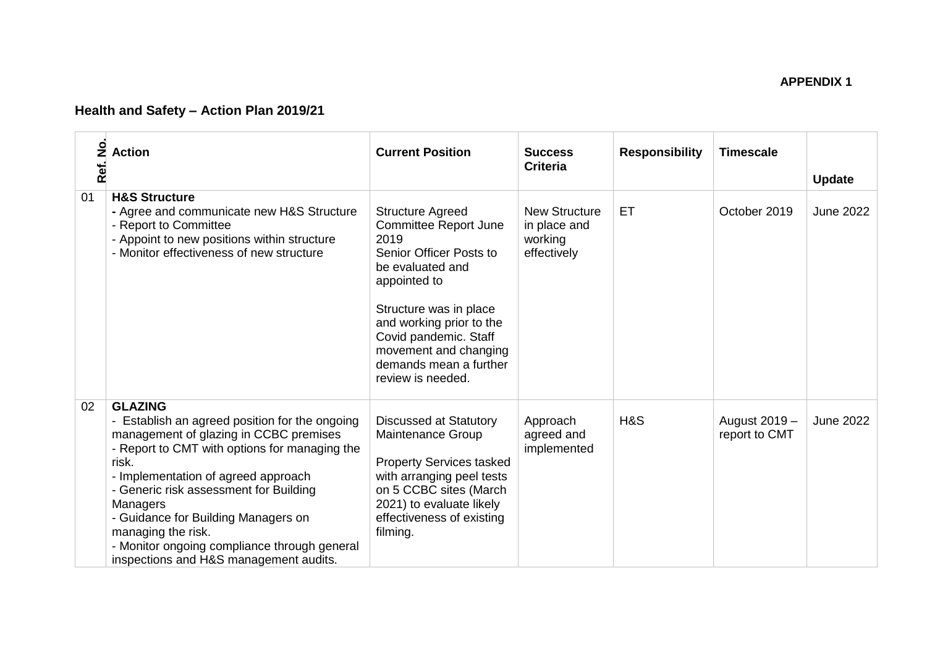## **Ref. 2** Action<br> **Ref. 19** Action<br> **Ref. 19 Action**<br> **Ref. 19 Action**<br> **Ref. 19 Action**<br> **Ref. 19 Action**<br> **Ref. 19 Action**<br> **Ref. 19 Action**<br> **Ref. 19 Action Criteria Responsibility Timescale Update** 01 **H&S Structure -** Agree and communicate new H&S Structure - Report to Committee - Appoint to new positions within structure - Monitor effectiveness of new structure Structure Agreed Committee Report June 2019 Senior Officer Posts to be evaluated and appointed to Structure was in place and working prior to the Covid pandemic. Staff movement and changing demands mean a further review is needed. New Structure in place and working effectively ET October 2019 June 2022 02 **GLAZING** - Establish an agreed position for the ongoing management of glazing in CCBC premises - Report to CMT with options for managing the risk. - Implementation of agreed approach - Generic risk assessment for Building Managers - Guidance for Building Managers on managing the risk. - Monitor ongoing compliance through general inspections and H&S management audits. Discussed at Statutory Maintenance Group Property Services tasked with arranging peel tests on 5 CCBC sites (March 2021) to evaluate likely effectiveness of existing filming. Approach agreed and implemented H&S | August 2019 – report to CMT June 2022

## **Health and Safety – Action Plan 2019/21**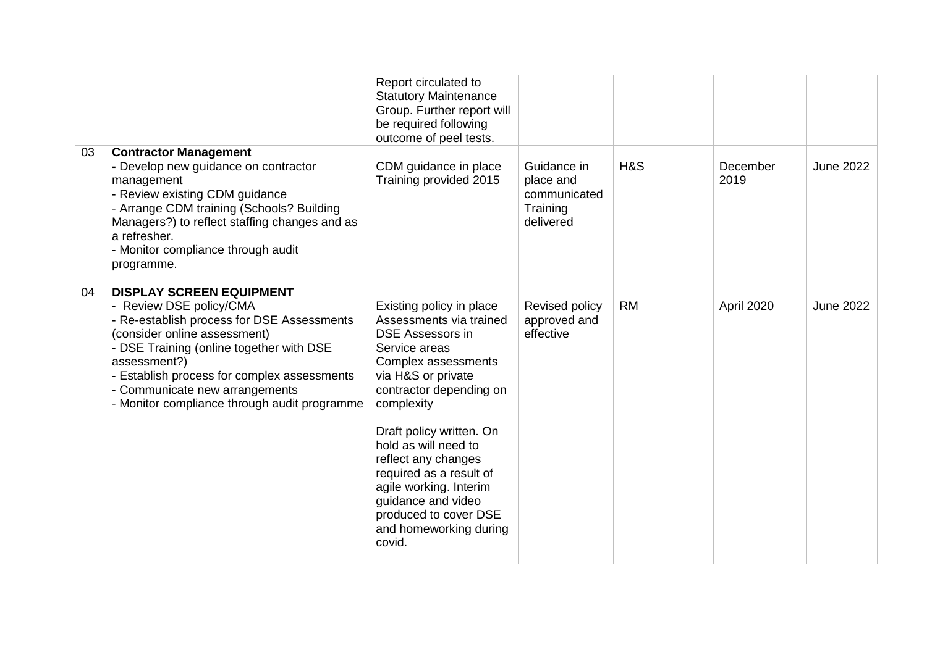|    |                                                                                                                                                                                                                                                                                                                                       | Report circulated to<br><b>Statutory Maintenance</b><br>Group. Further report will<br>be required following<br>outcome of peel tests.                                                                                                                                                                                                                                                                    |                                                                   |           |                  |                  |
|----|---------------------------------------------------------------------------------------------------------------------------------------------------------------------------------------------------------------------------------------------------------------------------------------------------------------------------------------|----------------------------------------------------------------------------------------------------------------------------------------------------------------------------------------------------------------------------------------------------------------------------------------------------------------------------------------------------------------------------------------------------------|-------------------------------------------------------------------|-----------|------------------|------------------|
| 03 | <b>Contractor Management</b><br>- Develop new guidance on contractor<br>management<br>- Review existing CDM guidance<br>- Arrange CDM training (Schools? Building<br>Managers?) to reflect staffing changes and as<br>a refresher.<br>- Monitor compliance through audit<br>programme.                                                | CDM guidance in place<br>Training provided 2015                                                                                                                                                                                                                                                                                                                                                          | Guidance in<br>place and<br>communicated<br>Training<br>delivered | H&S       | December<br>2019 | <b>June 2022</b> |
| 04 | <b>DISPLAY SCREEN EQUIPMENT</b><br>- Review DSE policy/CMA<br>- Re-establish process for DSE Assessments<br>(consider online assessment)<br>- DSE Training (online together with DSE<br>assessment?)<br>- Establish process for complex assessments<br>- Communicate new arrangements<br>- Monitor compliance through audit programme | Existing policy in place<br>Assessments via trained<br><b>DSE Assessors in</b><br>Service areas<br>Complex assessments<br>via H&S or private<br>contractor depending on<br>complexity<br>Draft policy written. On<br>hold as will need to<br>reflect any changes<br>required as a result of<br>agile working. Interim<br>guidance and video<br>produced to cover DSE<br>and homeworking during<br>covid. | Revised policy<br>approved and<br>effective                       | <b>RM</b> | April 2020       | <b>June 2022</b> |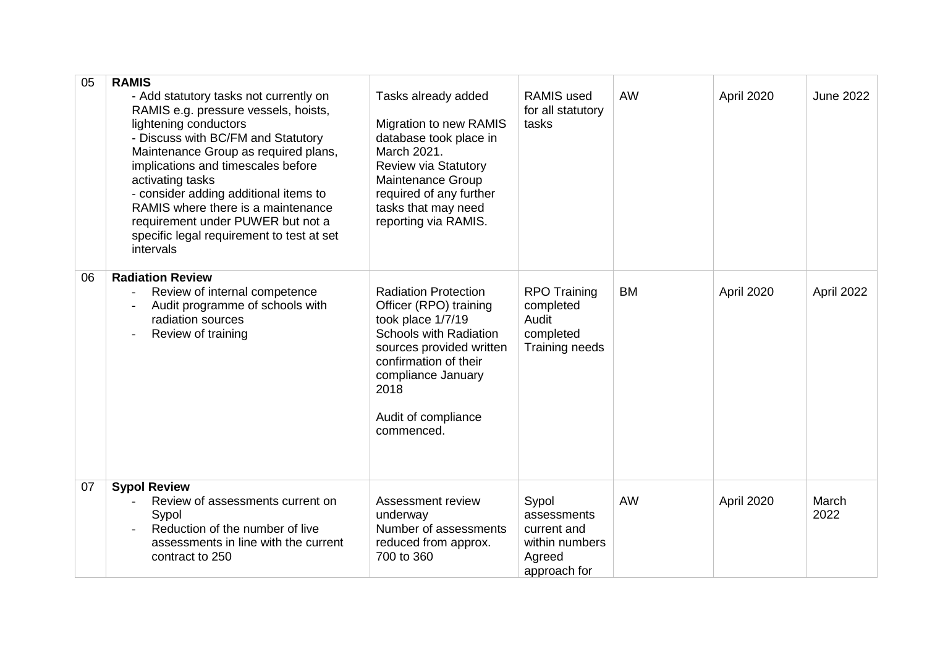| 05 | <b>RAMIS</b><br>- Add statutory tasks not currently on<br>RAMIS e.g. pressure vessels, hoists,<br>lightening conductors<br>- Discuss with BC/FM and Statutory<br>Maintenance Group as required plans,<br>implications and timescales before<br>activating tasks<br>- consider adding additional items to<br>RAMIS where there is a maintenance<br>requirement under PUWER but not a<br>specific legal requirement to test at set<br>intervals | Tasks already added<br><b>Migration to new RAMIS</b><br>database took place in<br>March 2021.<br><b>Review via Statutory</b><br>Maintenance Group<br>required of any further<br>tasks that may need<br>reporting via RAMIS.         | <b>RAMIS</b> used<br>for all statutory<br>tasks                                 | <b>AW</b> | April 2020 | <b>June 2022</b> |
|----|-----------------------------------------------------------------------------------------------------------------------------------------------------------------------------------------------------------------------------------------------------------------------------------------------------------------------------------------------------------------------------------------------------------------------------------------------|-------------------------------------------------------------------------------------------------------------------------------------------------------------------------------------------------------------------------------------|---------------------------------------------------------------------------------|-----------|------------|------------------|
| 06 | <b>Radiation Review</b><br>Review of internal competence<br>Audit programme of schools with<br>radiation sources<br>Review of training                                                                                                                                                                                                                                                                                                        | <b>Radiation Protection</b><br>Officer (RPO) training<br>took place 1/7/19<br><b>Schools with Radiation</b><br>sources provided written<br>confirmation of their<br>compliance January<br>2018<br>Audit of compliance<br>commenced. | <b>RPO Training</b><br>completed<br>Audit<br>completed<br>Training needs        | <b>BM</b> | April 2020 | April 2022       |
| 07 | <b>Sypol Review</b><br>Review of assessments current on<br>Sypol<br>Reduction of the number of live<br>assessments in line with the current<br>contract to 250                                                                                                                                                                                                                                                                                | Assessment review<br>underway<br>Number of assessments<br>reduced from approx.<br>700 to 360                                                                                                                                        | Sypol<br>assessments<br>current and<br>within numbers<br>Agreed<br>approach for | <b>AW</b> | April 2020 | March<br>2022    |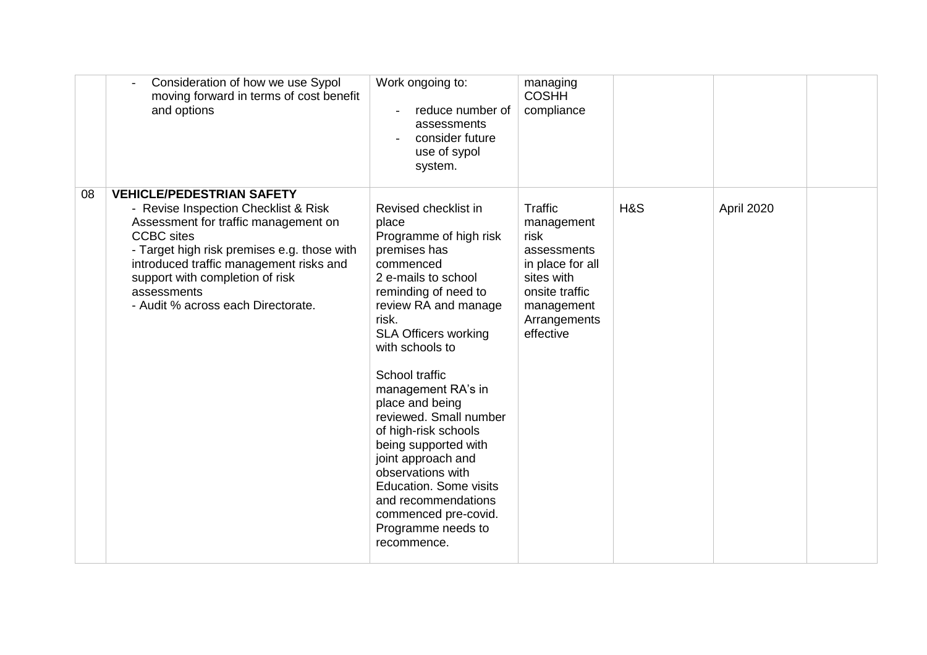|    | Consideration of how we use Sypol<br>moving forward in terms of cost benefit<br>and options                                                                                                                                                                                                                             | Work ongoing to:<br>reduce number of<br>assessments<br>consider future<br>use of sypol<br>system.                                                                                                                                                                                                                                                                                                                                                                                                                           | managing<br><b>COSHH</b><br>compliance                                                                                                      |     |            |  |
|----|-------------------------------------------------------------------------------------------------------------------------------------------------------------------------------------------------------------------------------------------------------------------------------------------------------------------------|-----------------------------------------------------------------------------------------------------------------------------------------------------------------------------------------------------------------------------------------------------------------------------------------------------------------------------------------------------------------------------------------------------------------------------------------------------------------------------------------------------------------------------|---------------------------------------------------------------------------------------------------------------------------------------------|-----|------------|--|
| 08 | <b>VEHICLE/PEDESTRIAN SAFETY</b><br>- Revise Inspection Checklist & Risk<br>Assessment for traffic management on<br><b>CCBC</b> sites<br>- Target high risk premises e.g. those with<br>introduced traffic management risks and<br>support with completion of risk<br>assessments<br>- Audit % across each Directorate. | Revised checklist in<br>place<br>Programme of high risk<br>premises has<br>commenced<br>2 e-mails to school<br>reminding of need to<br>review RA and manage<br>risk.<br><b>SLA Officers working</b><br>with schools to<br>School traffic<br>management RA's in<br>place and being<br>reviewed. Small number<br>of high-risk schools<br>being supported with<br>joint approach and<br>observations with<br><b>Education. Some visits</b><br>and recommendations<br>commenced pre-covid.<br>Programme needs to<br>recommence. | Traffic<br>management<br>risk<br>assessments<br>in place for all<br>sites with<br>onsite traffic<br>management<br>Arrangements<br>effective | H&S | April 2020 |  |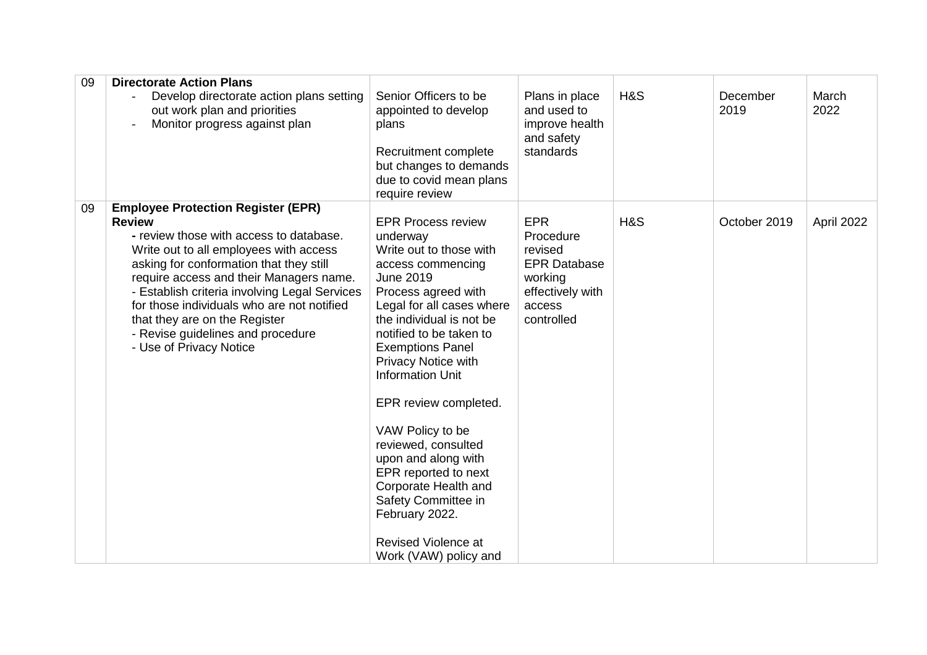| 09 | <b>Directorate Action Plans</b><br>Develop directorate action plans setting<br>out work plan and priorities<br>Monitor progress against plan                                                                                                                                                                                                                                                                                          | Senior Officers to be<br>appointed to develop<br>plans<br>Recruitment complete<br>but changes to demands<br>due to covid mean plans<br>require review                                                                                                                                                                                                                                                                                                                                                                                        | Plans in place<br>and used to<br>improve health<br>and safety<br>standards                                       | H&S | December<br>2019 | March<br>2022 |
|----|---------------------------------------------------------------------------------------------------------------------------------------------------------------------------------------------------------------------------------------------------------------------------------------------------------------------------------------------------------------------------------------------------------------------------------------|----------------------------------------------------------------------------------------------------------------------------------------------------------------------------------------------------------------------------------------------------------------------------------------------------------------------------------------------------------------------------------------------------------------------------------------------------------------------------------------------------------------------------------------------|------------------------------------------------------------------------------------------------------------------|-----|------------------|---------------|
| 09 | <b>Employee Protection Register (EPR)</b><br><b>Review</b><br>- review those with access to database.<br>Write out to all employees with access<br>asking for conformation that they still<br>require access and their Managers name.<br>- Establish criteria involving Legal Services<br>for those individuals who are not notified<br>that they are on the Register<br>- Revise guidelines and procedure<br>- Use of Privacy Notice | <b>EPR Process review</b><br>underway<br>Write out to those with<br>access commencing<br><b>June 2019</b><br>Process agreed with<br>Legal for all cases where<br>the individual is not be<br>notified to be taken to<br><b>Exemptions Panel</b><br><b>Privacy Notice with</b><br><b>Information Unit</b><br>EPR review completed.<br>VAW Policy to be<br>reviewed, consulted<br>upon and along with<br>EPR reported to next<br>Corporate Health and<br>Safety Committee in<br>February 2022.<br>Revised Violence at<br>Work (VAW) policy and | <b>EPR</b><br>Procedure<br>revised<br><b>EPR Database</b><br>working<br>effectively with<br>access<br>controlled | H&S | October 2019     | April 2022    |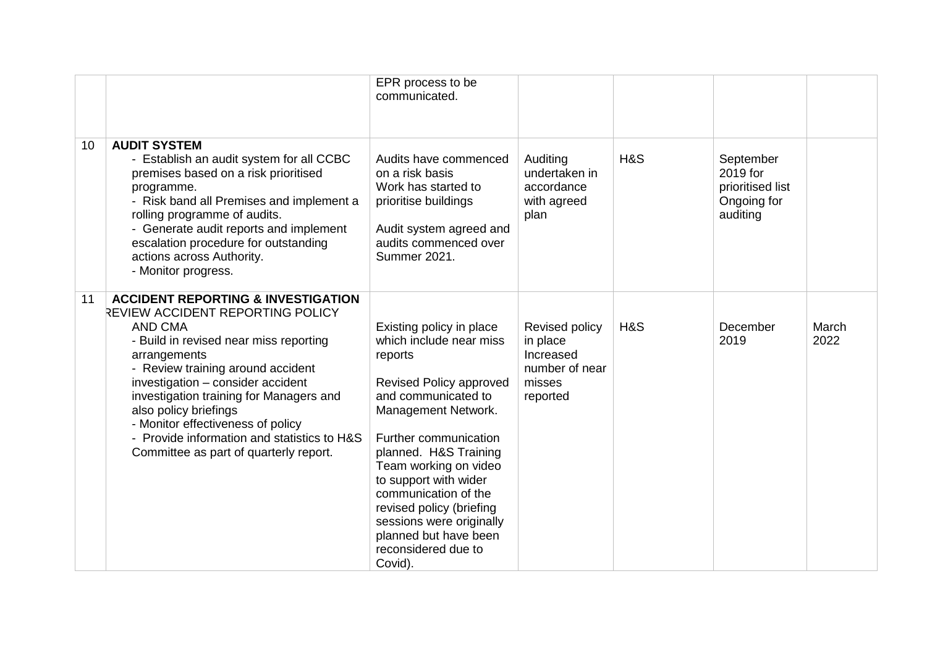|    |                                                                                                                                                                                                                                                                                                                                                                                                                                           | EPR process to be<br>communicated.                                                                                                                                                                                                                                                                                                                                                     |                                                                                 |     |                                                                      |               |
|----|-------------------------------------------------------------------------------------------------------------------------------------------------------------------------------------------------------------------------------------------------------------------------------------------------------------------------------------------------------------------------------------------------------------------------------------------|----------------------------------------------------------------------------------------------------------------------------------------------------------------------------------------------------------------------------------------------------------------------------------------------------------------------------------------------------------------------------------------|---------------------------------------------------------------------------------|-----|----------------------------------------------------------------------|---------------|
| 10 | <b>AUDIT SYSTEM</b><br>- Establish an audit system for all CCBC<br>premises based on a risk prioritised<br>programme.<br>- Risk band all Premises and implement a<br>rolling programme of audits.<br>- Generate audit reports and implement<br>escalation procedure for outstanding<br>actions across Authority.<br>- Monitor progress.                                                                                                   | Audits have commenced<br>on a risk basis<br>Work has started to<br>prioritise buildings<br>Audit system agreed and<br>audits commenced over<br><b>Summer 2021.</b>                                                                                                                                                                                                                     | Auditing<br>undertaken in<br>accordance<br>with agreed<br>plan                  | H&S | September<br>2019 for<br>prioritised list<br>Ongoing for<br>auditing |               |
| 11 | <b>ACCIDENT REPORTING &amp; INVESTIGATION</b><br>REVIEW ACCIDENT REPORTING POLICY<br><b>AND CMA</b><br>- Build in revised near miss reporting<br>arrangements<br>- Review training around accident<br>investigation - consider accident<br>investigation training for Managers and<br>also policy briefings<br>- Monitor effectiveness of policy<br>- Provide information and statistics to H&S<br>Committee as part of quarterly report. | Existing policy in place<br>which include near miss<br>reports<br>Revised Policy approved<br>and communicated to<br>Management Network.<br>Further communication<br>planned. H&S Training<br>Team working on video<br>to support with wider<br>communication of the<br>revised policy (briefing<br>sessions were originally<br>planned but have been<br>reconsidered due to<br>Covid). | Revised policy<br>in place<br>Increased<br>number of near<br>misses<br>reported | H&S | December<br>2019                                                     | March<br>2022 |